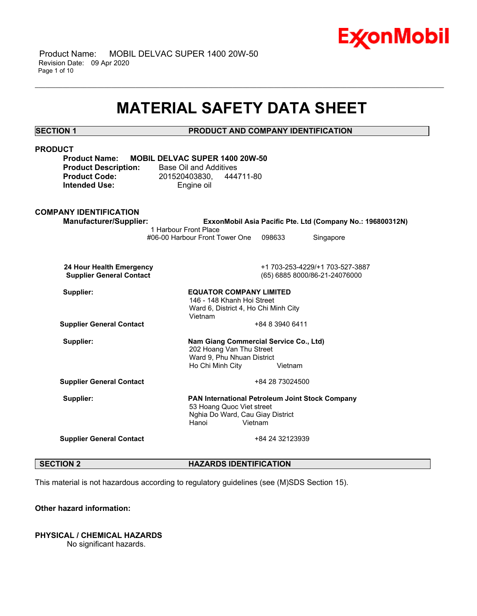

 Product Name: MOBIL DELVAC SUPER 1400 20W-50 Revision Date: 09 Apr 2020 Page 1 of 10

## **MATERIAL SAFETY DATA SHEET**

\_\_\_\_\_\_\_\_\_\_\_\_\_\_\_\_\_\_\_\_\_\_\_\_\_\_\_\_\_\_\_\_\_\_\_\_\_\_\_\_\_\_\_\_\_\_\_\_\_\_\_\_\_\_\_\_\_\_\_\_\_\_\_\_\_\_\_\_\_\_\_\_\_\_\_\_\_\_\_\_\_\_\_\_\_\_\_\_\_\_\_\_\_\_\_\_\_\_\_\_\_\_\_\_\_\_\_\_\_\_\_\_\_\_\_\_\_\_

## **SECTION 1 PRODUCT AND COMPANY IDENTIFICATION**

| <b>PRODUCT</b><br><b>Product Name:</b><br><b>Product Description:</b><br><b>Product Code:</b><br><b>Intended Use:</b> | <b>MOBIL DELVAC SUPER 1400 20W-50</b><br>Base Oil and Additives<br>201520403830, 444711-80<br>Engine oil |                 |                                                            |
|-----------------------------------------------------------------------------------------------------------------------|----------------------------------------------------------------------------------------------------------|-----------------|------------------------------------------------------------|
| <b>COMPANY IDENTIFICATION</b>                                                                                         |                                                                                                          |                 |                                                            |
| <b>Manufacturer/Supplier:</b>                                                                                         |                                                                                                          |                 | ExxonMobil Asia Pacific Pte. Ltd (Company No.: 196800312N) |
|                                                                                                                       | 1 Harbour Front Place<br>#06-00 Harbour Front Tower One                                                  | 098633          | Singapore                                                  |
|                                                                                                                       |                                                                                                          |                 |                                                            |
| 24 Hour Health Emergency                                                                                              |                                                                                                          |                 | +1 703-253-4229/+1 703-527-3887                            |
| <b>Supplier General Contact</b>                                                                                       |                                                                                                          |                 | (65) 6885 8000/86-21-24076000                              |
| Supplier:                                                                                                             | <b>EQUATOR COMPANY LIMITED</b>                                                                           |                 |                                                            |
|                                                                                                                       | 146 - 148 Khanh Hoi Street                                                                               |                 |                                                            |
|                                                                                                                       | Ward 6, District 4, Ho Chi Minh City<br>Vietnam                                                          |                 |                                                            |
| <b>Supplier General Contact</b>                                                                                       |                                                                                                          | +84 8 3940 6411 |                                                            |
| Supplier:                                                                                                             |                                                                                                          |                 |                                                            |
|                                                                                                                       | Nam Giang Commercial Service Co., Ltd)<br>202 Hoang Van Thu Street                                       |                 |                                                            |
|                                                                                                                       | Ward 9, Phu Nhuan District                                                                               |                 |                                                            |
|                                                                                                                       | Ho Chi Minh City                                                                                         | Vietnam         |                                                            |
| <b>Supplier General Contact</b>                                                                                       |                                                                                                          | +84 28 73024500 |                                                            |
| Supplier:                                                                                                             | PAN International Petroleum Joint Stock Company                                                          |                 |                                                            |
|                                                                                                                       | 53 Hoang Quoc Viet street                                                                                |                 |                                                            |
|                                                                                                                       | Nghia Do Ward, Cau Giay District<br>Hanoi                                                                | Vietnam         |                                                            |
|                                                                                                                       |                                                                                                          |                 |                                                            |
| <b>Supplier General Contact</b>                                                                                       |                                                                                                          | +84 24 32123939 |                                                            |
|                                                                                                                       |                                                                                                          |                 |                                                            |
|                                                                                                                       |                                                                                                          |                 |                                                            |

### **SECTION 2 HAZARDS IDENTIFICATION**

This material is not hazardous according to regulatory guidelines (see (M)SDS Section 15).

### **Other hazard information:**

## **PHYSICAL / CHEMICAL HAZARDS**

No significant hazards.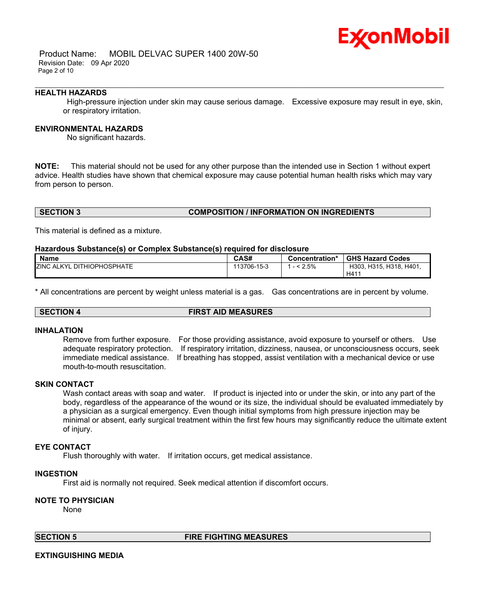## Ex⁄onMobil

 Product Name: MOBIL DELVAC SUPER 1400 20W-50 Revision Date: 09 Apr 2020 Page 2 of 10

### **HEALTH HAZARDS**

 High-pressure injection under skin may cause serious damage. Excessive exposure may result in eye, skin, or respiratory irritation.

\_\_\_\_\_\_\_\_\_\_\_\_\_\_\_\_\_\_\_\_\_\_\_\_\_\_\_\_\_\_\_\_\_\_\_\_\_\_\_\_\_\_\_\_\_\_\_\_\_\_\_\_\_\_\_\_\_\_\_\_\_\_\_\_\_\_\_\_\_\_\_\_\_\_\_\_\_\_\_\_\_\_\_\_\_\_\_\_\_\_\_\_\_\_\_\_\_\_\_\_\_\_\_\_\_\_\_\_\_\_\_\_\_\_\_\_\_\_

### **ENVIRONMENTAL HAZARDS**

No significant hazards.

**NOTE:** This material should not be used for any other purpose than the intended use in Section 1 without expert advice. Health studies have shown that chemical exposure may cause potential human health risks which may vary from person to person.

### **SECTION 3 COMPOSITION / INFORMATION ON INGREDIENTS**

This material is defined as a mixture.

### **Hazardous Substance(s) or Complex Substance(s) required for disclosure**

| <b>Name</b>                       | CAS#        | Concentration* | <b>GHS Hazard Codes</b>        |
|-----------------------------------|-------------|----------------|--------------------------------|
| <b>ZINC ALKYL DITHIOPHOSPHATE</b> | 113706-15-3 | $< 2.5\%$      | H303, H315, H318, H401,<br>H41 |

\* All concentrations are percent by weight unless material is a gas. Gas concentrations are in percent by volume.

## **SECTION 4 FIRST AID MEASURES**

### **INHALATION**

Remove from further exposure. For those providing assistance, avoid exposure to yourself or others. Use adequate respiratory protection. If respiratory irritation, dizziness, nausea, or unconsciousness occurs, seek immediate medical assistance. If breathing has stopped, assist ventilation with a mechanical device or use mouth-to-mouth resuscitation.

### **SKIN CONTACT**

Wash contact areas with soap and water. If product is injected into or under the skin, or into any part of the body, regardless of the appearance of the wound or its size, the individual should be evaluated immediately by a physician as a surgical emergency. Even though initial symptoms from high pressure injection may be minimal or absent, early surgical treatment within the first few hours may significantly reduce the ultimate extent of injury.

### **EYE CONTACT**

Flush thoroughly with water. If irritation occurs, get medical assistance.

### **INGESTION**

First aid is normally not required. Seek medical attention if discomfort occurs.

### **NOTE TO PHYSICIAN**

None

**SECTION 5 FIRE FIGHTING MEASURES** 

### **EXTINGUISHING MEDIA**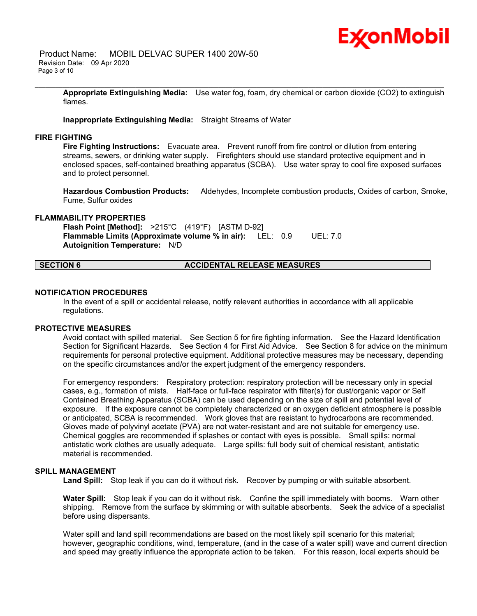

 Product Name: MOBIL DELVAC SUPER 1400 20W-50 Revision Date: 09 Apr 2020 Page 3 of 10

> **Appropriate Extinguishing Media:** Use water fog, foam, dry chemical or carbon dioxide (CO2) to extinguish flames.

\_\_\_\_\_\_\_\_\_\_\_\_\_\_\_\_\_\_\_\_\_\_\_\_\_\_\_\_\_\_\_\_\_\_\_\_\_\_\_\_\_\_\_\_\_\_\_\_\_\_\_\_\_\_\_\_\_\_\_\_\_\_\_\_\_\_\_\_\_\_\_\_\_\_\_\_\_\_\_\_\_\_\_\_\_\_\_\_\_\_\_\_\_\_\_\_\_\_\_\_\_\_\_\_\_\_\_\_\_\_\_\_\_\_\_\_\_\_

### **Inappropriate Extinguishing Media:** Straight Streams of Water

### **FIRE FIGHTING**

**Fire Fighting Instructions:** Evacuate area. Prevent runoff from fire control or dilution from entering streams, sewers, or drinking water supply. Firefighters should use standard protective equipment and in enclosed spaces, self-contained breathing apparatus (SCBA). Use water spray to cool fire exposed surfaces and to protect personnel.

**Hazardous Combustion Products:** Aldehydes, Incomplete combustion products, Oxides of carbon, Smoke, Fume, Sulfur oxides

### **FLAMMABILITY PROPERTIES**

**Flash Point [Method]:** >215°C (419°F) [ASTM D-92] **Flammable Limits (Approximate volume % in air):** LEL: 0.9 UEL: 7.0 **Autoignition Temperature:** N/D

### **SECTION 6 ACCIDENTAL RELEASE MEASURES**

### **NOTIFICATION PROCEDURES**

In the event of a spill or accidental release, notify relevant authorities in accordance with all applicable regulations.

### **PROTECTIVE MEASURES**

Avoid contact with spilled material. See Section 5 for fire fighting information. See the Hazard Identification Section for Significant Hazards. See Section 4 for First Aid Advice. See Section 8 for advice on the minimum requirements for personal protective equipment. Additional protective measures may be necessary, depending on the specific circumstances and/or the expert judgment of the emergency responders.

For emergency responders: Respiratory protection: respiratory protection will be necessary only in special cases, e.g., formation of mists. Half-face or full-face respirator with filter(s) for dust/organic vapor or Self Contained Breathing Apparatus (SCBA) can be used depending on the size of spill and potential level of exposure. If the exposure cannot be completely characterized or an oxygen deficient atmosphere is possible or anticipated, SCBA is recommended. Work gloves that are resistant to hydrocarbons are recommended. Gloves made of polyvinyl acetate (PVA) are not water-resistant and are not suitable for emergency use. Chemical goggles are recommended if splashes or contact with eyes is possible. Small spills: normal antistatic work clothes are usually adequate. Large spills: full body suit of chemical resistant, antistatic material is recommended.

### **SPILL MANAGEMENT**

Land Spill: Stop leak if you can do it without risk. Recover by pumping or with suitable absorbent.

**Water Spill:** Stop leak if you can do it without risk. Confine the spill immediately with booms. Warn other shipping. Remove from the surface by skimming or with suitable absorbents. Seek the advice of a specialist before using dispersants.

Water spill and land spill recommendations are based on the most likely spill scenario for this material; however, geographic conditions, wind, temperature, (and in the case of a water spill) wave and current direction and speed may greatly influence the appropriate action to be taken. For this reason, local experts should be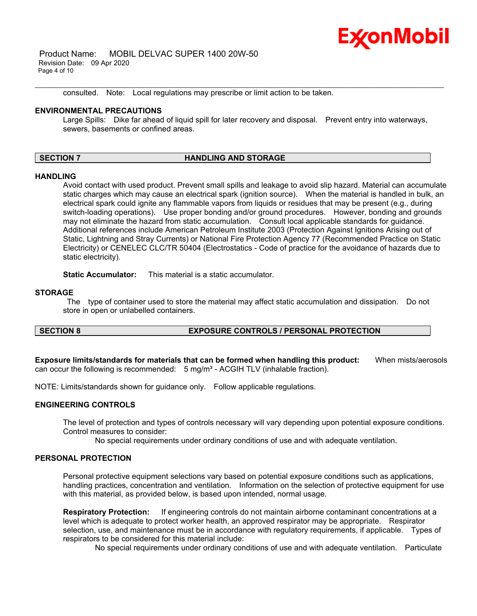

 Product Name: MOBIL DELVAC SUPER 1400 20W-50 Revision Date: 09 Apr 2020 Page 4 of 10

consulted. Note: Local regulations may prescribe or limit action to be taken.

### **ENVIRONMENTAL PRECAUTIONS**

Large Spills: Dike far ahead of liquid spill for later recovery and disposal. Prevent entry into waterways, sewers, basements or confined areas.

\_\_\_\_\_\_\_\_\_\_\_\_\_\_\_\_\_\_\_\_\_\_\_\_\_\_\_\_\_\_\_\_\_\_\_\_\_\_\_\_\_\_\_\_\_\_\_\_\_\_\_\_\_\_\_\_\_\_\_\_\_\_\_\_\_\_\_\_\_\_\_\_\_\_\_\_\_\_\_\_\_\_\_\_\_\_\_\_\_\_\_\_\_\_\_\_\_\_\_\_\_\_\_\_\_\_\_\_\_\_\_\_\_\_\_\_\_\_

### **SECTION 7 HANDLING AND STORAGE**

### **HANDLING**

Avoid contact with used product. Prevent small spills and leakage to avoid slip hazard. Material can accumulate static charges which may cause an electrical spark (ignition source). When the material is handled in bulk, an electrical spark could ignite any flammable vapors from liquids or residues that may be present (e.g., during switch-loading operations). Use proper bonding and/or ground procedures. However, bonding and grounds may not eliminate the hazard from static accumulation. Consult local applicable standards for guidance. Additional references include American Petroleum Institute 2003 (Protection Against Ignitions Arising out of Static, Lightning and Stray Currents) or National Fire Protection Agency 77 (Recommended Practice on Static Electricity) or CENELEC CLC/TR 50404 (Electrostatics - Code of practice for the avoidance of hazards due to static electricity).

**Static Accumulator:** This material is a static accumulator.

### **STORAGE**

 The type of container used to store the material may affect static accumulation and dissipation. Do not store in open or unlabelled containers.

### **SECTION 8 EXPOSURE CONTROLS / PERSONAL PROTECTION**

**Exposure limits/standards for materials that can be formed when handling this product:** When mists/aerosols can occur the following is recommended:  $5 \text{ mg/m}^3$  - ACGIH TLV (inhalable fraction).

NOTE: Limits/standards shown for guidance only. Follow applicable regulations.

### **ENGINEERING CONTROLS**

The level of protection and types of controls necessary will vary depending upon potential exposure conditions. Control measures to consider:

No special requirements under ordinary conditions of use and with adequate ventilation.

### **PERSONAL PROTECTION**

Personal protective equipment selections vary based on potential exposure conditions such as applications, handling practices, concentration and ventilation. Information on the selection of protective equipment for use with this material, as provided below, is based upon intended, normal usage.

**Respiratory Protection:** If engineering controls do not maintain airborne contaminant concentrations at a level which is adequate to protect worker health, an approved respirator may be appropriate. Respirator selection, use, and maintenance must be in accordance with regulatory requirements, if applicable. Types of respirators to be considered for this material include:

No special requirements under ordinary conditions of use and with adequate ventilation. Particulate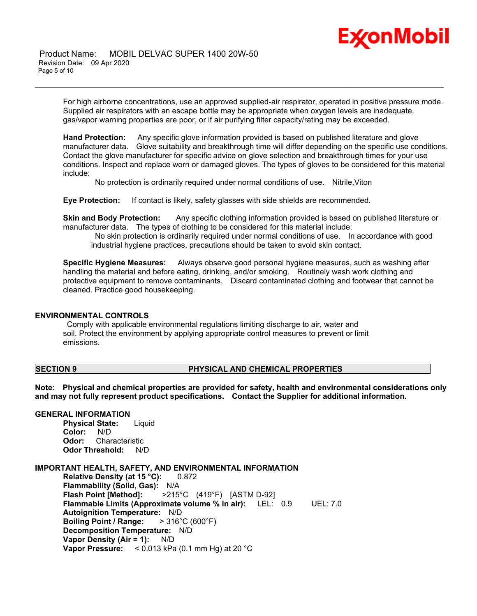# Ex⁄onMobil

 Product Name: MOBIL DELVAC SUPER 1400 20W-50 Revision Date: 09 Apr 2020 Page 5 of 10

> For high airborne concentrations, use an approved supplied-air respirator, operated in positive pressure mode. Supplied air respirators with an escape bottle may be appropriate when oxygen levels are inadequate, gas/vapor warning properties are poor, or if air purifying filter capacity/rating may be exceeded.

\_\_\_\_\_\_\_\_\_\_\_\_\_\_\_\_\_\_\_\_\_\_\_\_\_\_\_\_\_\_\_\_\_\_\_\_\_\_\_\_\_\_\_\_\_\_\_\_\_\_\_\_\_\_\_\_\_\_\_\_\_\_\_\_\_\_\_\_\_\_\_\_\_\_\_\_\_\_\_\_\_\_\_\_\_\_\_\_\_\_\_\_\_\_\_\_\_\_\_\_\_\_\_\_\_\_\_\_\_\_\_\_\_\_\_\_\_\_

**Hand Protection:** Any specific glove information provided is based on published literature and glove manufacturer data. Glove suitability and breakthrough time will differ depending on the specific use conditions. Contact the glove manufacturer for specific advice on glove selection and breakthrough times for your use conditions. Inspect and replace worn or damaged gloves. The types of gloves to be considered for this material include:

No protection is ordinarily required under normal conditions of use. Nitrile,Viton

**Eye Protection:** If contact is likely, safety glasses with side shields are recommended.

**Skin and Body Protection:** Any specific clothing information provided is based on published literature or manufacturer data. The types of clothing to be considered for this material include:

 No skin protection is ordinarily required under normal conditions of use. In accordance with good industrial hygiene practices, precautions should be taken to avoid skin contact.

**Specific Hygiene Measures:** Always observe good personal hygiene measures, such as washing after handling the material and before eating, drinking, and/or smoking. Routinely wash work clothing and protective equipment to remove contaminants. Discard contaminated clothing and footwear that cannot be cleaned. Practice good housekeeping.

### **ENVIRONMENTAL CONTROLS**

 Comply with applicable environmental regulations limiting discharge to air, water and soil. Protect the environment by applying appropriate control measures to prevent or limit emissions.

### **SECTION 9 PHYSICAL AND CHEMICAL PROPERTIES**

**Note: Physical and chemical properties are provided for safety, health and environmental considerations only and may not fully represent product specifications. Contact the Supplier for additional information.**

### **GENERAL INFORMATION**

**Physical State:** Liquid Color: N/D<br>Odor: Char **Odor:** Characteristic **Odor Threshold:** N/D

### **IMPORTANT HEALTH, SAFETY, AND ENVIRONMENTAL INFORMATION**

**Relative Density (at 15 °C):** 0.872 **Flammability (Solid, Gas):** N/A **Flash Point [Method]:** >215°C (419°F) [ASTM D-92] **Flammable Limits (Approximate volume % in air):** LEL: 0.9 UEL: 7.0 **Autoignition Temperature:** N/D **Boiling Point / Range:** > 316°C (600°F) **Decomposition Temperature:** N/D **Vapor Density (Air = 1):** N/D **Vapor Pressure:** < 0.013 kPa (0.1 mm Hg) at 20 °C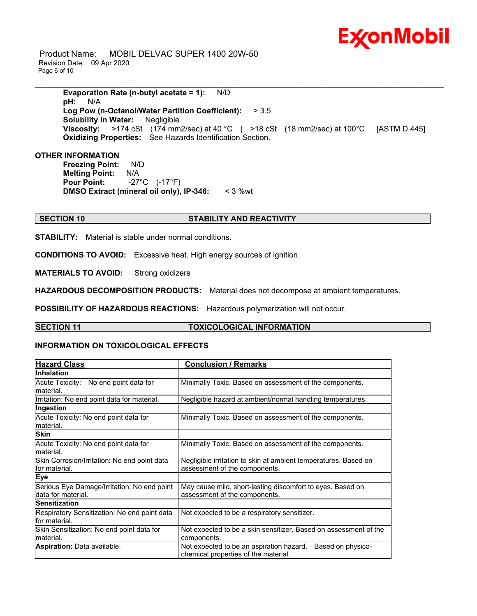

 Product Name: MOBIL DELVAC SUPER 1400 20W-50 Revision Date: 09 Apr 2020 Page 6 of 10

> **Evaporation Rate (n-butyl acetate = 1):** N/D **pH:** N/A **Log Pow (n-Octanol/Water Partition Coefficient):** > 3.5 **Solubility in Water:** Negligible **Viscosity:** >174 cSt (174 mm2/sec) at 40 °C | >18 cSt (18 mm2/sec) at 100 °C [ASTM D 445] **Oxidizing Properties:** See Hazards Identification Section.

\_\_\_\_\_\_\_\_\_\_\_\_\_\_\_\_\_\_\_\_\_\_\_\_\_\_\_\_\_\_\_\_\_\_\_\_\_\_\_\_\_\_\_\_\_\_\_\_\_\_\_\_\_\_\_\_\_\_\_\_\_\_\_\_\_\_\_\_\_\_\_\_\_\_\_\_\_\_\_\_\_\_\_\_\_\_\_\_\_\_\_\_\_\_\_\_\_\_\_\_\_\_\_\_\_\_\_\_\_\_\_\_\_\_\_\_\_\_

### **OTHER INFORMATION**

**Freezing Point:** N/D **Melting Point:** N/A **Pour Point:** -27°C (-17°F) **DMSO Extract (mineral oil only), IP-346:** < 3 %wt

### **SECTION 10 STABILITY AND REACTIVITY**

**STABILITY:** Material is stable under normal conditions.

**CONDITIONS TO AVOID:** Excessive heat. High energy sources of ignition.

**MATERIALS TO AVOID:** Strong oxidizers

**HAZARDOUS DECOMPOSITION PRODUCTS:** Material does not decompose at ambient temperatures.

**POSSIBILITY OF HAZARDOUS REACTIONS:** Hazardous polymerization will not occur.

### **SECTION 11 TOXICOLOGICAL INFORMATION**

### **INFORMATION ON TOXICOLOGICAL EFFECTS**

| <b>Hazard Class</b>                                               | <b>Conclusion / Remarks</b>                                                                           |  |
|-------------------------------------------------------------------|-------------------------------------------------------------------------------------------------------|--|
| <b>Inhalation</b>                                                 |                                                                                                       |  |
| Acute Toxicity: No end point data for<br>lmaterial.               | Minimally Toxic. Based on assessment of the components.                                               |  |
| Irritation: No end point data for material.                       | Negligible hazard at ambient/normal handling temperatures.                                            |  |
| Ingestion                                                         |                                                                                                       |  |
| Acute Toxicity: No end point data for<br>lmaterial.               | Minimally Toxic. Based on assessment of the components.                                               |  |
| <b>Skin</b>                                                       |                                                                                                       |  |
| Acute Toxicity: No end point data for<br>lmaterial.               | Minimally Toxic. Based on assessment of the components.                                               |  |
| Skin Corrosion/Irritation: No end point data<br>for material.     | Negligible irritation to skin at ambient temperatures. Based on<br>assessment of the components.      |  |
| <b>Eye</b>                                                        |                                                                                                       |  |
| Serious Eye Damage/Irritation: No end point<br>data for material. | May cause mild, short-lasting discomfort to eyes. Based on<br>assessment of the components.           |  |
| <b>Sensitization</b>                                              |                                                                                                       |  |
| Respiratory Sensitization: No end point data<br>lfor material.    | Not expected to be a respiratory sensitizer.                                                          |  |
| Skin Sensitization: No end point data for<br>lmaterial.           | Not expected to be a skin sensitizer. Based on assessment of the<br>components.                       |  |
| <b>Aspiration: Data available.</b>                                | Based on physico-<br>Not expected to be an aspiration hazard.<br>chemical properties of the material. |  |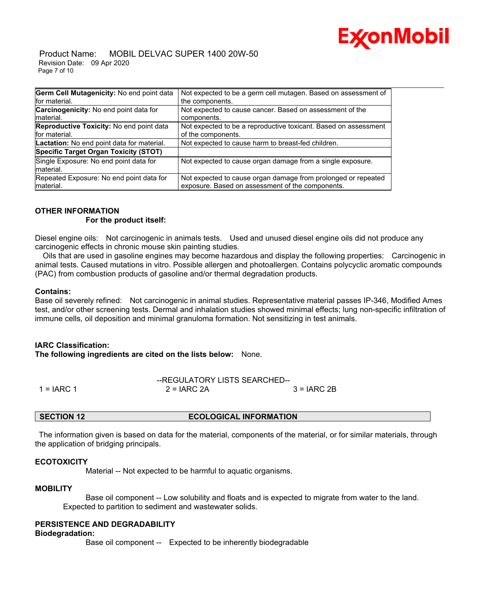

 Product Name: MOBIL DELVAC SUPER 1400 20W-50 Revision Date: 09 Apr 2020 Page 7 of 10

| Germ Cell Mutagenicity: No end point data                   | Not expected to be a germ cell mutagen. Based on assessment of                                                    |
|-------------------------------------------------------------|-------------------------------------------------------------------------------------------------------------------|
| for material.                                               | the components.                                                                                                   |
| <b>Carcinogenicity:</b> No end point data for<br>Imaterial. | Not expected to cause cancer. Based on assessment of the<br>components.                                           |
| Reproductive Toxicity: No end point data<br>for material.   | Not expected to be a reproductive toxicant. Based on assessment<br>of the components.                             |
| Lactation: No end point data for material.                  | Not expected to cause harm to breast-fed children.                                                                |
| Specific Target Organ Toxicity (STOT)                       |                                                                                                                   |
| Single Exposure: No end point data for<br>Imaterial.        | Not expected to cause organ damage from a single exposure.                                                        |
| Repeated Exposure: No end point data for<br>material.       | Not expected to cause organ damage from prolonged or repeated<br>exposure. Based on assessment of the components. |

### **OTHER INFORMATION**

### **For the product itself:**

Diesel engine oils: Not carcinogenic in animals tests. Used and unused diesel engine oils did not produce any carcinogenic effects in chronic mouse skin painting studies.

 Oils that are used in gasoline engines may become hazardous and display the following properties: Carcinogenic in animal tests. Caused mutations in vitro. Possible allergen and photoallergen. Contains polycyclic aromatic compounds (PAC) from combustion products of gasoline and/or thermal degradation products.

### **Contains:**

Base oil severely refined: Not carcinogenic in animal studies. Representative material passes IP-346, Modified Ames test, and/or other screening tests. Dermal and inhalation studies showed minimal effects; lung non-specific infiltration of immune cells, oil deposition and minimal granuloma formation. Not sensitizing in test animals.

### **IARC Classification:**

**The following ingredients are cited on the lists below:** None.

|            | --REGULATORY LISTS SEARCHED-- |              |  |
|------------|-------------------------------|--------------|--|
| 1 = IARC 1 | $2 = IARC 2A$                 | $3 = IARC2B$ |  |

**SECTION 12 ECOLOGICAL INFORMATION**

 The information given is based on data for the material, components of the material, or for similar materials, through the application of bridging principals.

### **ECOTOXICITY**

Material -- Not expected to be harmful to aquatic organisms.

### **MOBILITY**

 Base oil component -- Low solubility and floats and is expected to migrate from water to the land. Expected to partition to sediment and wastewater solids.

### **PERSISTENCE AND DEGRADABILITY**

### **Biodegradation:**

Base oil component -- Expected to be inherently biodegradable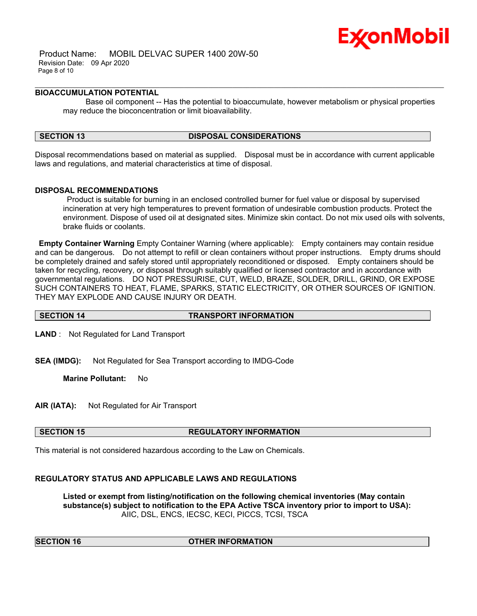

 Product Name: MOBIL DELVAC SUPER 1400 20W-50 Revision Date: 09 Apr 2020 Page 8 of 10

### **BIOACCUMULATION POTENTIAL**

 Base oil component -- Has the potential to bioaccumulate, however metabolism or physical properties may reduce the bioconcentration or limit bioavailability.

\_\_\_\_\_\_\_\_\_\_\_\_\_\_\_\_\_\_\_\_\_\_\_\_\_\_\_\_\_\_\_\_\_\_\_\_\_\_\_\_\_\_\_\_\_\_\_\_\_\_\_\_\_\_\_\_\_\_\_\_\_\_\_\_\_\_\_\_\_\_\_\_\_\_\_\_\_\_\_\_\_\_\_\_\_\_\_\_\_\_\_\_\_\_\_\_\_\_\_\_\_\_\_\_\_\_\_\_\_\_\_\_\_\_\_\_\_\_

### **SECTION 13 DISPOSAL CONSIDERATIONS**

Disposal recommendations based on material as supplied. Disposal must be in accordance with current applicable laws and regulations, and material characteristics at time of disposal.

### **DISPOSAL RECOMMENDATIONS**

 Product is suitable for burning in an enclosed controlled burner for fuel value or disposal by supervised incineration at very high temperatures to prevent formation of undesirable combustion products. Protect the environment. Dispose of used oil at designated sites. Minimize skin contact. Do not mix used oils with solvents, brake fluids or coolants.

**Empty Container Warning** Empty Container Warning (where applicable): Empty containers may contain residue and can be dangerous. Do not attempt to refill or clean containers without proper instructions. Empty drums should be completely drained and safely stored until appropriately reconditioned or disposed. Empty containers should be taken for recycling, recovery, or disposal through suitably qualified or licensed contractor and in accordance with governmental regulations. DO NOT PRESSURISE, CUT, WELD, BRAZE, SOLDER, DRILL, GRIND, OR EXPOSE SUCH CONTAINERS TO HEAT, FLAME, SPARKS, STATIC ELECTRICITY, OR OTHER SOURCES OF IGNITION. THEY MAY EXPLODE AND CAUSE INJURY OR DEATH.

**SECTION 14 TRANSPORT INFORMATION** 

**LAND** : Not Regulated for Land Transport

**SEA (IMDG):** Not Regulated for Sea Transport according to IMDG-Code

**Marine Pollutant:** No

**AIR (IATA):** Not Regulated for Air Transport

### **SECTION 15 REGULATORY INFORMATION**

This material is not considered hazardous according to the Law on Chemicals.

### **REGULATORY STATUS AND APPLICABLE LAWS AND REGULATIONS**

**Listed or exempt from listing/notification on the following chemical inventories (May contain substance(s) subject to notification to the EPA Active TSCA inventory prior to import to USA):**  AIIC, DSL, ENCS, IECSC, KECI, PICCS, TCSI, TSCA

### **OTHER INFORMATION**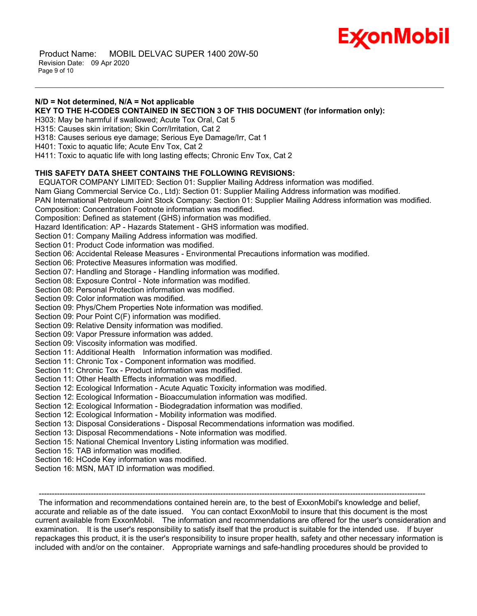

 Product Name: MOBIL DELVAC SUPER 1400 20W-50 Revision Date: 09 Apr 2020 Page 9 of 10

### **N/D = Not determined, N/A = Not applicable**

**KEY TO THE H-CODES CONTAINED IN SECTION 3 OF THIS DOCUMENT (for information only):**

\_\_\_\_\_\_\_\_\_\_\_\_\_\_\_\_\_\_\_\_\_\_\_\_\_\_\_\_\_\_\_\_\_\_\_\_\_\_\_\_\_\_\_\_\_\_\_\_\_\_\_\_\_\_\_\_\_\_\_\_\_\_\_\_\_\_\_\_\_\_\_\_\_\_\_\_\_\_\_\_\_\_\_\_\_\_\_\_\_\_\_\_\_\_\_\_\_\_\_\_\_\_\_\_\_\_\_\_\_\_\_\_\_\_\_\_\_\_

H303: May be harmful if swallowed; Acute Tox Oral, Cat 5

H315: Causes skin irritation; Skin Corr/Irritation, Cat 2

H318: Causes serious eye damage; Serious Eye Damage/Irr, Cat 1

H401: Toxic to aquatic life; Acute Env Tox, Cat 2

H411: Toxic to aquatic life with long lasting effects; Chronic Env Tox, Cat 2

### **THIS SAFETY DATA SHEET CONTAINS THE FOLLOWING REVISIONS:**

 EQUATOR COMPANY LIMITED: Section 01: Supplier Mailing Address information was modified. Nam Giang Commercial Service Co., Ltd): Section 01: Supplier Mailing Address information was modified. PAN International Petroleum Joint Stock Company: Section 01: Supplier Mailing Address information was modified. Composition: Concentration Footnote information was modified. Composition: Defined as statement (GHS) information was modified. Hazard Identification: AP - Hazards Statement - GHS information was modified. Section 01: Company Mailing Address information was modified. Section 01: Product Code information was modified. Section 06: Accidental Release Measures - Environmental Precautions information was modified. Section 06: Protective Measures information was modified. Section 07: Handling and Storage - Handling information was modified. Section 08: Exposure Control - Note information was modified. Section 08: Personal Protection information was modified. Section 09: Color information was modified. Section 09: Phys/Chem Properties Note information was modified. Section 09: Pour Point C(F) information was modified. Section 09: Relative Density information was modified. Section 09: Vapor Pressure information was added. Section 09: Viscosity information was modified. Section 11: Additional Health Information information was modified. Section 11: Chronic Tox - Component information was modified. Section 11: Chronic Tox - Product information was modified. Section 11: Other Health Effects information was modified. Section 12: Ecological Information - Acute Aquatic Toxicity information was modified. Section 12: Ecological Information - Bioaccumulation information was modified. Section 12: Ecological Information - Biodegradation information was modified. Section 12: Ecological Information - Mobility information was modified. Section 13: Disposal Considerations - Disposal Recommendations information was modified. Section 13: Disposal Recommendations - Note information was modified. Section 15: National Chemical Inventory Listing information was modified. Section 15: TAB information was modified. Section 16: HCode Key information was modified.

Section 16: MSN, MAT ID information was modified.

 The information and recommendations contained herein are, to the best of ExxonMobil's knowledge and belief, accurate and reliable as of the date issued. You can contact ExxonMobil to insure that this document is the most current available from ExxonMobil. The information and recommendations are offered for the user's consideration and examination. It is the user's responsibility to satisfy itself that the product is suitable for the intended use. If buyer repackages this product, it is the user's responsibility to insure proper health, safety and other necessary information is included with and/or on the container. Appropriate warnings and safe-handling procedures should be provided to

-----------------------------------------------------------------------------------------------------------------------------------------------------